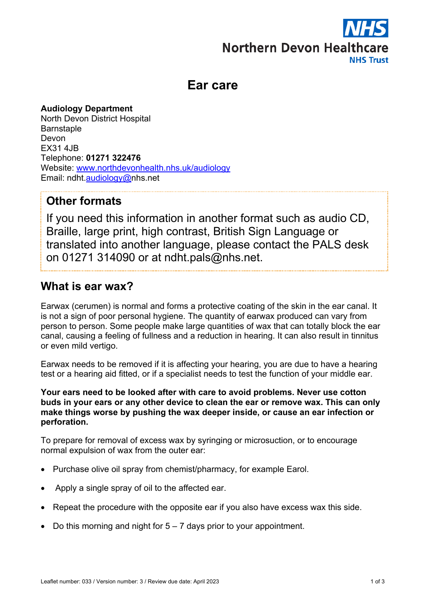# **Northern Devon Healthcare NHS Trust**

# **Ear care**

**Audiology Department** North Devon District Hospital **Barnstaple** Devon EX31 4JB Telephone: **01271 322476** Website: www.northdevonhealth.nhs.uk/audiology Email: ndht.audiology@nhs.net

## **Other formats**

If you need this information in another format such as audio CD, Braille, large print, high contrast, British Sign Language or translated into another language, please contact the PALS desk on 01271 314090 or at ndht.pals@nhs.net.

## **What is ear wax?**

Earwax (cerumen) is normal and forms a protective coating of the skin in the ear canal. It is not a sign of poor personal hygiene. The quantity of earwax produced can vary from person to person. Some people make large quantities of wax that can totally block the ear canal, causing a feeling of fullness and a reduction in hearing. It can also result in tinnitus or even mild vertigo.

Earwax needs to be removed if it is affecting your hearing, you are due to have a hearing test or a hearing aid fitted, or if a specialist needs to test the function of your middle ear.

**Your ears need to be looked after with care to avoid problems. Never use cotton buds in your ears or any other device to clean the ear or remove wax. This can only make things worse by pushing the wax deeper inside, or cause an ear infection or perforation.**

To prepare for removal of excess wax by syringing or microsuction, or to encourage normal expulsion of wax from the outer ear:

- Purchase olive oil spray from chemist/pharmacy, for example Earol.
- Apply a single spray of oil to the affected ear.
- Repeat the procedure with the opposite ear if you also have excess wax this side.
- Do this morning and night for  $5 7$  days prior to your appointment.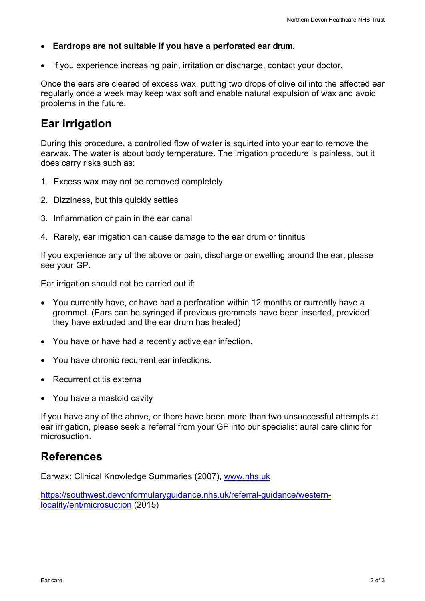- **Eardrops are not suitable if you have a perforated ear drum.**
- If you experience increasing pain, irritation or discharge, contact your doctor.

Once the ears are cleared of excess wax, putting two drops of olive oil into the affected ear regularly once a week may keep wax soft and enable natural expulsion of wax and avoid problems in the future.

# **Ear irrigation**

During this procedure, a controlled flow of water is squirted into your ear to remove the earwax. The water is about body temperature. The irrigation procedure is painless, but it does carry risks such as:

- 1. Excess wax may not be removed completely
- 2. Dizziness, but this quickly settles
- 3. Inflammation or pain in the ear canal
- 4. Rarely, ear irrigation can cause damage to the ear drum or tinnitus

If you experience any of the above or pain, discharge or swelling around the ear, please see your GP.

Ear irrigation should not be carried out if:

- You currently have, or have had a perforation within 12 months or currently have a grommet. (Ears can be syringed if previous grommets have been inserted, provided they have extruded and the ear drum has healed)
- You have or have had a recently active ear infection.
- You have chronic recurrent ear infections.
- Recurrent otitis externa
- You have a mastoid cavity

If you have any of the above, or there have been more than two unsuccessful attempts at ear irrigation, please seek a referral from your GP into our specialist aural care clinic for microsuction.

## **References**

Earwax: Clinical Knowledge Summaries (2007), www.nhs.uk

https://southwest.devonformularyguidance.nhs.uk/referral-guidance/westernlocality/ent/microsuction (2015)